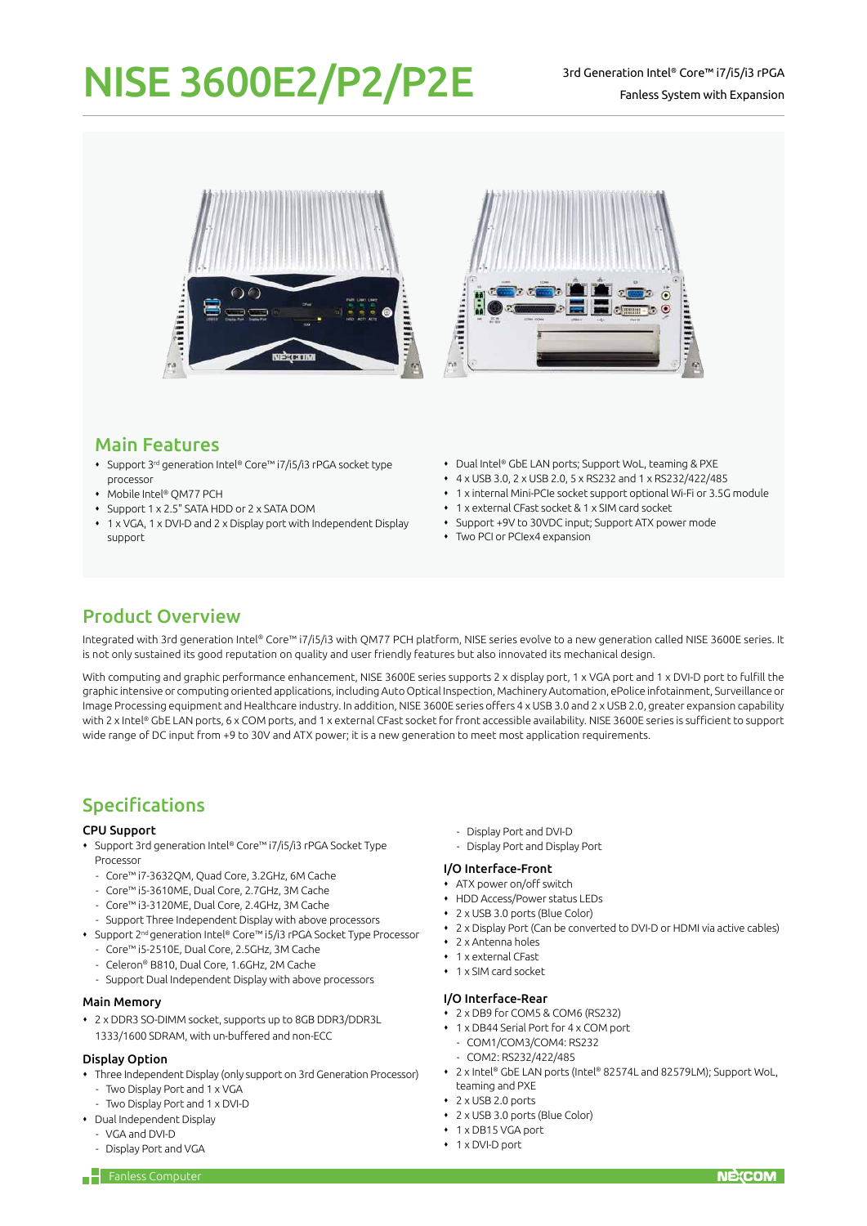# NISE 3600E2/P2/P2E<sup>3rd Generation Intel® Core™ i7/i5/i3 rPGA</sup>



### Main Features

- Support 3rd generation Intel® Core™ i7/i5/i3 rPGA socket type processor
- Mobile Intel® QM77 PCH
- Support 1 x 2.5" SATA HDD or 2 x SATA DOM
- 1 x VGA, 1 x DVI-D and 2 x Display port with Independent Display support
- Dual Intel® GbE LAN ports; Support WoL, teaming & PXE
- 4 x USB 3.0, 2 x USB 2.0, 5 x RS232 and 1 x RS232/422/485
- 1 x internal Mini-PCIe socket support optional Wi-Fi or 3.5G module
- 1 x external CFast socket & 1 x SIM card socket
- Support +9V to 30VDC input; Support ATX power mode
- Two PCI or PCIex4 expansion

# Product Overview

Integrated with 3rd generation Intel® Core™ i7/i5/i3 with QM77 PCH platform, NISE series evolve to a new generation called NISE 3600E series. It is not only sustained its good reputation on quality and user friendly features but also innovated its mechanical design.

With computing and graphic performance enhancement, NISE 3600E series supports 2 x display port, 1 x VGA port and 1 x DVI-D port to fulfill the graphic intensive or computing oriented applications, including Auto Optical Inspection, Machinery Automation, ePolice infotainment, Surveillance or Image Processing equipment and Healthcare industry. In addition, NISE 3600E series offers 4 x USB 3.0 and 2 x USB 2.0, greater expansion capability with 2 x Intel® GbE LAN ports, 6 x COM ports, and 1 x external CFast socket for front accessible availability. NISE 3600E series is sufficient to support wide range of DC input from +9 to 30V and ATX power; it is a new generation to meet most application requirements.

# Specifications

#### CPU Support

- Support 3rd generation Intel® Core™ i7/i5/i3 rPGA Socket Type Processor
	- Core™ i7-3632QM, Quad Core, 3.2GHz, 6M Cache
	- Core™ i5-3610ME, Dual Core, 2.7GHz, 3M Cache
	- Core™ i3-3120ME, Dual Core, 2.4GHz, 3M Cache
- Support Three Independent Display with above processors
- Support 2nd generation Intel® Core™ i5/i3 rPGA Socket Type Processor
	- Core™ i5-2510E, Dual Core, 2.5GHz, 3M Cache
	- Celeron® B810, Dual Core, 1.6GHz, 2M Cache
	- Support Dual Independent Display with above processors

#### Main Memory

 2 x DDR3 SO-DIMM socket, supports up to 8GB DDR3/DDR3L 1333/1600 SDRAM, with un-buffered and non-ECC

#### Display Option

- Three Independent Display (only support on 3rd Generation Processor) - Two Display Port and 1 x VGA
- Two Display Port and 1 x DVI-D
- Dual Independent Display
	- VGA and DVI-D
	- Display Port and VGA
- Display Port and DVI-D
- Display Port and Display Port

#### I/O Interface-Front

- ATX power on/off switch
- HDD Access/Power status LEDs
- 2 x USB 3.0 ports (Blue Color)
- 2 x Display Port (Can be converted to DVI-D or HDMI via active cables)
- 2 x Antenna holes
- 1 x external CFast
- 1 x SIM card socket

#### I/O Interface-Rear

- 2 x DB9 for COM5 & COM6 (RS232)
- 1 x DB44 Serial Port for 4 x COM port
	- COM1/COM3/COM4: RS232
	- COM2: RS232/422/485
- 2 x Intel® GbE LAN ports (Intel® 82574L and 82579LM); Support WoL, teaming and PXE
- $2 \times$  USB 2.0 ports
- 2 x USB 3.0 ports (Blue Color)
- 1 x DB15 VGA port
- 1 x DVI-D port